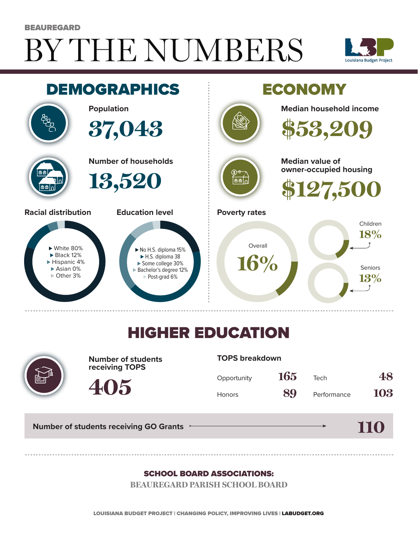# BY THE NUMBERS **BEAUREGARD**





## HIGHER EDUCATION



**Number of students receiving TOPS**

#### **TOPS breakdown**

| Opportunity   | 165 | Tech        | 48  |
|---------------|-----|-------------|-----|
| <b>Honors</b> | 89  | Performance | 103 |

**110**

**Number of students receiving GO Grants**

**405**

#### SCHOOL BOARD ASSOCIATIONS:

**BEAUREGARD PARISH SCHOOL BOARD**